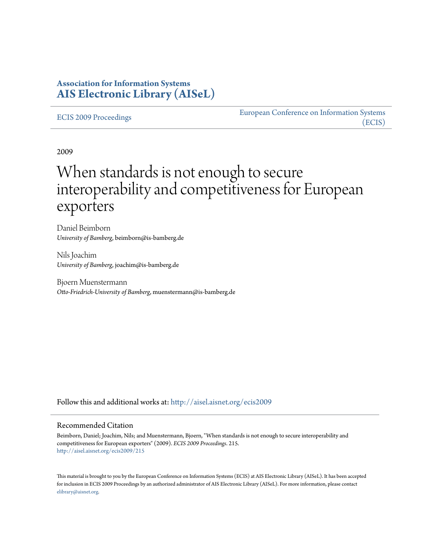# **Association for Information Systems [AIS Electronic Library \(AISeL\)](http://aisel.aisnet.org?utm_source=aisel.aisnet.org%2Fecis2009%2F215&utm_medium=PDF&utm_campaign=PDFCoverPages)**

#### [ECIS 2009 Proceedings](http://aisel.aisnet.org/ecis2009?utm_source=aisel.aisnet.org%2Fecis2009%2F215&utm_medium=PDF&utm_campaign=PDFCoverPages)

[European Conference on Information Systems](http://aisel.aisnet.org/ecis?utm_source=aisel.aisnet.org%2Fecis2009%2F215&utm_medium=PDF&utm_campaign=PDFCoverPages) [\(ECIS\)](http://aisel.aisnet.org/ecis?utm_source=aisel.aisnet.org%2Fecis2009%2F215&utm_medium=PDF&utm_campaign=PDFCoverPages)

2009

# When standards is not enough to secure interoperability and competitiveness for European exporters

Daniel Beimborn *University of Bamberg*, beimborn@is-bamberg.de

Nils Joachim *University of Bamberg*, joachim@is-bamberg.de

Bjoern Muenstermann *Otto-Friedrich-University of Bamberg*, muenstermann@is-bamberg.de

Follow this and additional works at: [http://aisel.aisnet.org/ecis2009](http://aisel.aisnet.org/ecis2009?utm_source=aisel.aisnet.org%2Fecis2009%2F215&utm_medium=PDF&utm_campaign=PDFCoverPages)

#### Recommended Citation

Beimborn, Daniel; Joachim, Nils; and Muenstermann, Bjoern, "When standards is not enough to secure interoperability and competitiveness for European exporters" (2009). *ECIS 2009 Proceedings*. 215. [http://aisel.aisnet.org/ecis2009/215](http://aisel.aisnet.org/ecis2009/215?utm_source=aisel.aisnet.org%2Fecis2009%2F215&utm_medium=PDF&utm_campaign=PDFCoverPages)

This material is brought to you by the European Conference on Information Systems (ECIS) at AIS Electronic Library (AISeL). It has been accepted for inclusion in ECIS 2009 Proceedings by an authorized administrator of AIS Electronic Library (AISeL). For more information, please contact [elibrary@aisnet.org.](mailto:elibrary@aisnet.org%3E)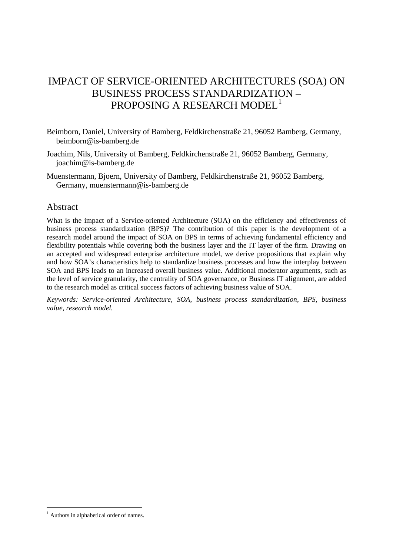# IMPACT OF SERVICE-ORIENTED ARCHITECTURES (SOA) ON BUSINESS PROCESS STANDARDIZATION – PROPOSING A RESEARCH MODEL<sup>[1](#page-1-0)</sup>

- Beimborn, Daniel, University of Bamberg, Feldkirchenstraße 21, 96052 Bamberg, Germany, beimborn@is-bamberg.de
- Joachim, Nils, University of Bamberg, Feldkirchenstraße 21, 96052 Bamberg, Germany, joachim@is-bamberg.de
- Muenstermann, Bjoern, University of Bamberg, Feldkirchenstraße 21, 96052 Bamberg, Germany, muenstermann@is-bamberg.de

#### Abstract

What is the impact of a Service-oriented Architecture (SOA) on the efficiency and effectiveness of business process standardization (BPS)? The contribution of this paper is the development of a research model around the impact of SOA on BPS in terms of achieving fundamental efficiency and flexibility potentials while covering both the business layer and the IT layer of the firm. Drawing on an accepted and widespread enterprise architecture model, we derive propositions that explain why and how SOA's characteristics help to standardize business processes and how the interplay between SOA and BPS leads to an increased overall business value. Additional moderator arguments, such as the level of service granularity, the centrality of SOA governance, or Business IT alignment, are added to the research model as critical success factors of achieving business value of SOA.

*Keywords: Service-oriented Architecture, SOA, business process standardization, BPS, business value, research model.*

<span id="page-1-0"></span><sup>-</sup><sup>1</sup> Authors in alphabetical order of names.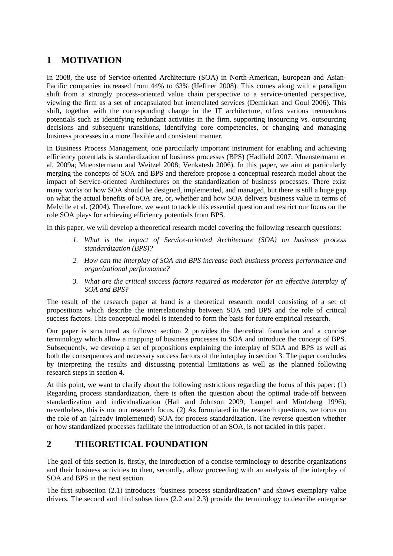# **1 MOTIVATION**

In 2008, the use of Service-oriented Architecture (SOA) in North-American, European and Asian-Pacific companies increased from 44% to 63% (Heffner 2008). This comes along with a paradigm shift from a strongly process-oriented value chain perspective to a service-oriented perspective, viewing the firm as a set of encapsulated but interrelated services (Demirkan and Goul 2006). This shift, together with the corresponding change in the IT architecture, offers various tremendous potentials such as identifying redundant activities in the firm, supporting insourcing vs. outsourcing decisions and subsequent transitions, identifying core competencies, or changing and managing business processes in a more flexible and consistent manner.

In Business Process Management, one particularly important instrument for enabling and achieving efficiency potentials is standardization of business processes (BPS) (Hadfield 2007; Muenstermann et al. 2009a; Muenstermann and Weitzel 2008; Venkatesh 2006). In this paper, we aim at particularly merging the concepts of SOA and BPS and therefore propose a conceptual research model about the impact of Service-oriented Architectures on the standardization of business processes. There exist many works on how SOA should be designed, implemented, and managed, but there is still a huge gap on what the actual benefits of SOA are, or, whether and how SOA delivers business value in terms of Melville et al. (2004). Therefore, we want to tackle this essential question and restrict our focus on the role SOA plays for achieving efficiency potentials from BPS.

In this paper, we will develop a theoretical research model covering the following research questions:

- *1. What is the impact of Service-oriented Architecture (SOA) on business process standardization (BPS)?*
- *2. How can the interplay of SOA and BPS increase both business process performance and organizational performance?*
- *3. What are the critical success factors required as moderator for an effective interplay of SOA and BPS?*

The result of the research paper at hand is a theoretical research model consisting of a set of propositions which describe the interrelationship between SOA and BPS and the role of critical success factors. This conceptual model is intended to form the basis for future empirical research.

Our paper is structured as follows: section 2 provides the theoretical foundation and a concise terminology which allow a mapping of business processes to SOA and introduce the concept of BPS. Subsequently, we develop a set of propositions explaining the interplay of SOA and BPS as well as both the consequences and necessary success factors of the interplay in section 3. The paper concludes by interpreting the results and discussing potential limitations as well as the planned following research steps in section 4.

At this point, we want to clarify about the following restrictions regarding the focus of this paper: (1) Regarding process standardization, there is often the question about the optimal trade-off between standardization and individualization (Hall and Johnson 2009; Lampel and Mintzberg 1996); nevertheless, this is not our research focus. (2) As formulated in the research questions, we focus on the role of an (already implemented) SOA for process standardization. The reverse question whether or how standardized processes facilitate the introduction of an SOA, is not tackled in this paper.

# **2 THEORETICAL FOUNDATION**

The goal of this section is, firstly, the introduction of a concise terminology to describe organizations and their business activities to then, secondly, allow proceeding with an analysis of the interplay of SOA and BPS in the next section.

The first subsection (2.1) introduces "business process standardization" and shows exemplary value drivers. The second and third subsections (2.2 and 2.3) provide the terminology to describe enterprise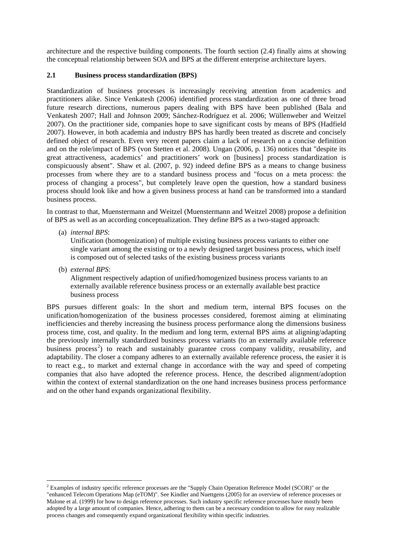architecture and the respective building components. The fourth section (2.4) finally aims at showing the conceptual relationship between SOA and BPS at the different enterprise architecture layers.

#### **2.1 Business process standardization (BPS)**

Standardization of business processes is increasingly receiving attention from academics and practitioners alike. Since Venkatesh (2006) identified process standardization as one of three broad future research directions, numerous papers dealing with BPS have been published (Bala and Venkatesh 2007; Hall and Johnson 2009; Sánchez-Rodríguez et al. 2006; Wüllenweber and Weitzel 2007). On the practitioner side, companies hope to save significant costs by means of BPS (Hadfield 2007). However, in both academia and industry BPS has hardly been treated as discrete and concisely defined object of research. Even very recent papers claim a lack of research on a concise definition and on the role/impact of BPS (von Stetten et al. 2008). Ungan (2006, p. 136) notices that "despite its great attractiveness, academics' and practitioners' work on [business] process standardization is conspicuously absent". Shaw et al. (2007, p. 92) indeed define BPS as a means to change business processes from where they are to a standard business process and "focus on a meta process: the process of changing a process", but completely leave open the question, how a standard business process should look like and how a given business process at hand can be transformed into a standard business process.

In contrast to that, Muenstermann and Weitzel (Muenstermann and Weitzel 2008) propose a definition of BPS as well as an according conceptualization. They define BPS as a two-staged approach:

(a) *internal BPS*:

Unification (homogenization) of multiple existing business process variants to either one single variant among the existing or to a newly designed target business process, which itself is composed out of selected tasks of the existing business process variants

(b) *external BPS*:

-

Alignment respectively adaption of unified/homogenized business process variants to an externally available reference business process or an externally available best practice business process

BPS pursues different goals: In the short and medium term, internal BPS focuses on the unification/homogenization of the business processes considered, foremost aiming at eliminating inefficiencies and thereby increasing the business process performance along the dimensions business process time, cost, and quality. In the medium and long term, external BPS aims at aligning/adapting the previously internally standardized business process variants (to an externally available reference business process<sup>[2](#page-3-0)</sup>) to reach and sustainably guarantee cross company validity, reusability, and adaptability. The closer a company adheres to an externally available reference process, the easier it is to react e.g., to market and external change in accordance with the way and speed of competing companies that also have adopted the reference process. Hence, the described alignment/adoption within the context of external standardization on the one hand increases business process performance and on the other hand expands organizational flexibility.

<span id="page-3-0"></span><sup>&</sup>lt;sup>2</sup> Examples of industry specific reference processes are the "Supply Chain Operation Reference Model (SCOR)" or the "enhanced Telecom Operations Map (eTOM)". See Kindler and Nuettgens (2005) for an overview of reference processes or Malone et al. (1999) for how to design reference processes. Such industry specific reference processes have mostly been adopted by a large amount of companies. Hence, adhering to them can be a necessary condition to allow for easy realizable process changes and consequently expand organizational flexibility within specific industries.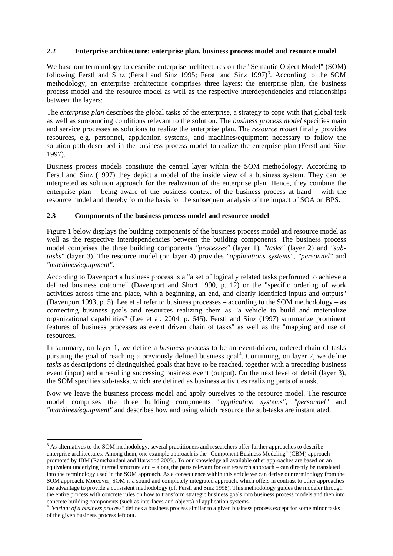#### **2.2 Enterprise architecture: enterprise plan, business process model and resource model**

We base our terminology to describe enterprise architectures on the "Semantic Object Model" (SOM) following Ferstl and Sinz (Ferstl and Sinz 1995; Ferstl and Sinz 1997)<sup>[3](#page-4-0)</sup>. According to the SOM methodology, an enterprise architecture comprises three layers: the enterprise plan, the business process model and the resource model as well as the respective interdependencies and relationships between the layers:

The *enterprise plan* describes the global tasks of the enterprise, a strategy to cope with that global task as well as surrounding conditions relevant to the solution. The *business process model* specifies main and service processes as solutions to realize the enterprise plan. The *resource model* finally provides resources, e.g. personnel, application systems, and machines/equipment necessary to follow the solution path described in the business process model to realize the enterprise plan (Ferstl and Sinz 1997).

Business process models constitute the central layer within the SOM methodology. According to Ferstl and Sinz (1997) they depict a model of the inside view of a business system. They can be interpreted as solution approach for the realization of the enterprise plan. Hence, they combine the enterprise plan – being aware of the business context of the business process at hand – with the resource model and thereby form the basis for the subsequent analysis of the impact of SOA on BPS.

#### **2.3 Components of the business process model and resource model**

Figure 1 below displays the building components of the business process model and resource model as well as the respective interdependencies between the building components. The business process model comprises the three building components *"processes"* (layer 1), *"tasks"* (layer 2) and *"subtasks"* (layer 3). The resource model (on layer 4) provides *"applications systems"*, *"personnel"* and *"machines/equipment"*.

According to Davenport a business process is a "a set of logically related tasks performed to achieve a defined business outcome" (Davenport and Short 1990, p. 12) or the "specific ordering of work activities across time and place, with a beginning, an end, and clearly identified inputs and outputs" (Davenport 1993, p. 5). Lee et al refer to business processes – according to the SOM methodology – as connecting business goals and resources realizing them as "a vehicle to build and materialize organizational capabilities" (Lee et al. 2004, p. 645). Ferstl and Sinz (1997) summarize prominent features of business processes as event driven chain of tasks" as well as the "mapping and use of resources.

In summary, on layer 1, we define a *business process* to be an event-driven, ordered chain of tasks pursuing the goal of reaching a previously defined business goal<sup>[4](#page-4-1)</sup>. Continuing, on layer 2, we define *tasks* as descriptions of distinguished goals that have to be reached, together with a preceding business event (input) and a resulting successing business event (output). On the next level of detail (layer 3), the SOM specifies sub-tasks, which are defined as business activities realizing parts of a task.

Now we leave the business process model and apply ourselves to the resource model. The resource model comprises the three building components *"application systems"*, *"personnel"* and *"machines/equipment"* and describes how and using which resource the sub-tasks are instantiated.

<span id="page-4-0"></span><sup>-</sup><sup>3</sup> As alternatives to the SOM methodology, several practitioners and researchers offer further approaches to describe enterprise architectures. Among them, one example approach is the "Component Business Modeling" (CBM) approach promoted by IBM (Ramchandani and Harwood 2005). To our knowledge all available other approaches are based on an equivalent underlying internal structure and – along the parts relevant for our research approach – can directly be translated into the terminology used in the SOM approach. As a consequence within this article we can derive our terminology from the SOM approach. Moreover, SOM is a sound and completely integrated approach, which offers in contrast to other approaches the advantage to provide a consistent methodology (cf. Ferstl and Sinz 1998). This methodology guides the modeler through the entire process with concrete rules on how to transform strategic business goals into business process models and then into concrete building components (such as interfaces and objects) of application systems.

<span id="page-4-1"></span><sup>4</sup> *"variant of a business process"* defines a business process similar to a given business process except for some minor tasks of the given business process left out.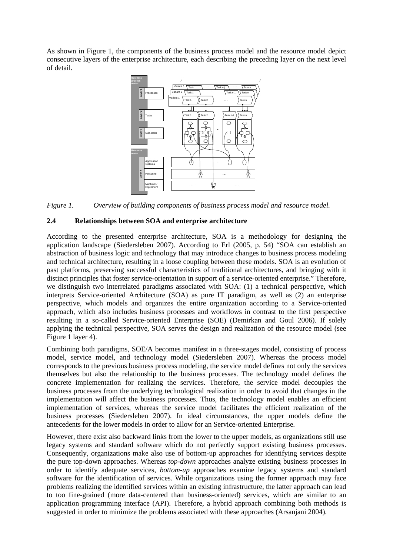As shown in Figure 1, the components of the business process model and the resource model depict consecutive layers of the enterprise architecture, each describing the preceding layer on the next level of detail.



*Figure 1. Overview of building components of business process model and resource model.* 

#### **2.4 Relationships between SOA and enterprise architecture**

According to the presented enterprise architecture, SOA is a methodology for designing the application landscape (Siedersleben 2007). According to Erl (2005, p. 54) "SOA can establish an abstraction of business logic and technology that may introduce changes to business process modeling and technical architecture, resulting in a loose coupling between these models. SOA is an evolution of past platforms, preserving successful characteristics of traditional architectures, and bringing with it distinct principles that foster service-orientation in support of a service-oriented enterprise." Therefore, we distinguish two interrelated paradigms associated with SOA: (1) a technical perspective, which interprets Service-oriented Architecture (SOA) as pure IT paradigm, as well as (2) an enterprise perspective, which models and organizes the entire organization according to a Service-oriented approach, which also includes business processes and workflows in contrast to the first perspective resulting in a so-called Service-oriented Enterprise (SOE) (Demirkan and Goul 2006). If solely applying the technical perspective, SOA serves the design and realization of the resource model (see Figure 1 layer 4).

Combining both paradigms, SOE/A becomes manifest in a three-stages model, consisting of process model, service model, and technology model (Siedersleben 2007). Whereas the process model corresponds to the previous business process modeling, the service model defines not only the services themselves but also the relationship to the business processes. The technology model defines the concrete implementation for realizing the services. Therefore, the service model decouples the business processes from the underlying technological realization in order to avoid that changes in the implementation will affect the business processes. Thus, the technology model enables an efficient implementation of services, whereas the service model facilitates the efficient realization of the business processes (Siedersleben 2007). In ideal circumstances, the upper models define the antecedents for the lower models in order to allow for an Service-oriented Enterprise.

However, there exist also backward links from the lower to the upper models, as organizations still use legacy systems and standard software which do not perfectly support existing business processes. Consequently, organizations make also use of bottom-up approaches for identifying services despite the pure top-down approaches. Whereas *top-down* approaches analyze existing business processes in order to identify adequate services, *bottom-up* approaches examine legacy systems and standard software for the identification of services. While organizations using the former approach may face problems realizing the identified services within an existing infrastructure, the latter approach can lead to too fine-grained (more data-centered than business-oriented) services, which are similar to an application programming interface (API). Therefore, a hybrid approach combining both methods is suggested in order to minimize the problems associated with these approaches (Arsanjani 2004).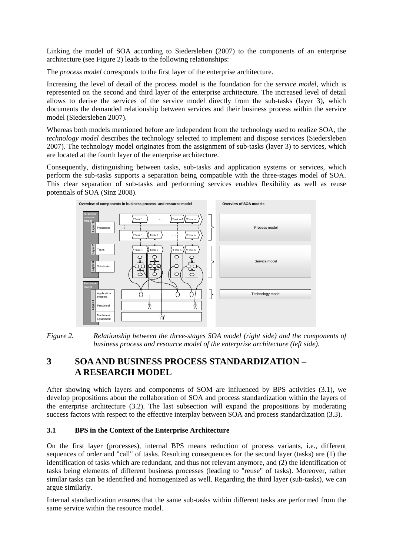Linking the model of SOA according to Siedersleben (2007) to the components of an enterprise architecture (see Figure 2) leads to the following relationships:

The *process model* corresponds to the first layer of the enterprise architecture.

Increasing the level of detail of the process model is the foundation for the *service model*, which is represented on the second and third layer of the enterprise architecture. The increased level of detail allows to derive the services of the service model directly from the sub-tasks (layer 3), which documents the demanded relationship between services and their business process within the service model (Siedersleben 2007).

Whereas both models mentioned before are independent from the technology used to realize SOA, the *technology model* describes the technology selected to implement and dispose services (Siedersleben 2007). The technology model originates from the assignment of sub-tasks (layer 3) to services, which are located at the fourth layer of the enterprise architecture.

Consequently, distinguishing between tasks, sub-tasks and application systems or services, which perform the sub-tasks supports a separation being compatible with the three-stages model of SOA. This clear separation of sub-tasks and performing services enables flexibility as well as reuse potentials of SOA (Sinz 2008).



*Figure 2. Relationship between the three-stages SOA model (right side) and the components of business process and resource model of the enterprise architecture (left side).*

# **3 SOA AND BUSINESS PROCESS STANDARDIZATION – A RESEARCH MODEL**

After showing which layers and components of SOM are influenced by BPS activities (3.1), we develop propositions about the collaboration of SOA and process standardization within the layers of the enterprise architecture (3.2). The last subsection will expand the propositions by moderating success factors with respect to the effective interplay between SOA and process standardization (3.3).

#### **3.1 BPS in the Context of the Enterprise Architecture**

On the first layer (processes), internal BPS means reduction of process variants, i.e., different sequences of order and "call" of tasks. Resulting consequences for the second layer (tasks) are (1) the identification of tasks which are redundant, and thus not relevant anymore, and (2) the identification of tasks being elements of different business processes (leading to "reuse" of tasks). Moreover, rather similar tasks can be identified and homogenized as well. Regarding the third layer (sub-tasks), we can argue similarly.

Internal standardization ensures that the same sub-tasks within different tasks are performed from the same service within the resource model.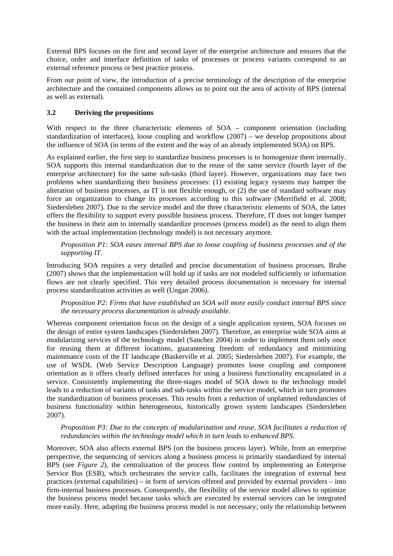External BPS focuses on the first and second layer of the enterprise architecture and ensures that the choice, order and interface definition of tasks of processes or process variants correspond to an external reference process or best practice process.

From our point of view, the introduction of a precise terminology of the description of the enterprise architecture and the contained components allows us to point out the area of activity of BPS (internal as well as external).

#### **3.2 Deriving the propositions**

With respect to the three characteristic elements of SOA – component orientation (including standardization of interfaces), loose coupling and workflow  $(2007)$  – we develop propositions about the influence of SOA (in terms of the extent and the way of an already implemented SOA) on BPS.

As explained earlier, the first step to standardize business processes is to homogenize them internally. SOA supports this internal standardization due to the reuse of the same service (fourth layer of the enterprise architecture) for the same sub-tasks (third layer). However, organizations may face two problems when standardizing their business processes: (1) existing legacy systems may hamper the alteration of business processes, as IT is not flexible enough, or (2) the use of standard software may force an organization to change its processes according to this software (Merrifield et al. 2008; Siedersleben 2007). Due to the service model and the three characteristic elements of SOA, the latter offers the flexibility to support every possible business process. Therefore, IT does not longer hamper the business in their aim to internally standardize processes (process model) as the need to align them with the actual implementation (technology model) is not necessary anymore.

*Proposition P1: SOA eases internal BPS due to loose coupling of business processes and of the supporting IT.*

Introducing SOA requires a very detailed and precise documentation of business processes. Brahe (2007) shows that the implementation will hold up if tasks are not modeled sufficiently or information flows are not clearly specified. This very detailed process documentation is necessary for internal process standardization activities as well (Ungan 2006).

*Proposition P2: Firms that have established an SOA will more easily conduct internal BPS since the necessary process documentation is already available.*

Whereas component orientation focus on the design of a single application system, SOA focuses on the design of entire system landscapes (Siedersleben 2007). Therefore, an enterprise wide SOA aims at modularizing services of the technology model (Sanchez 2004) in order to implement them only once for reusing them at different locations, guaranteeing freedom of redundancy and minimizing maintenance costs of the IT landscape (Baskerville et al. 2005; Siedersleben 2007). For example, the use of WSDL (Web Service Description Language) promotes loose coupling and component orientation as it offers clearly defined interfaces for using a business functionality encapsulated in a service. Consistently implementing the three-stages model of SOA down to the technology model leads to a reduction of variants of tasks and sub-tasks within the service model, which in turn promotes the standardization of business processes. This results from a reduction of unplanned redundancies of business functionality within heterogeneous, historically grown system landscapes (Siedersleben 2007).

#### *Proposition P3: Due to the concepts of modularization and reuse, SOA facilitates a reduction of redundancies within the technology model which in turn leads to enhanced BPS.*

Moreover, SOA also affects external BPS (on the business process layer). While, from an enterprise perspective, the sequencing of services along a business process is primarily standardized by internal BPS (see *Figure 2*), the centralization of the process flow control by implementing an Enterprise Service Bus (ESB), which orchestrates the service calls, facilitates the integration of external best practices (external capabilities) – in form of services offered and provided by external providers – into firm-internal business processes. Consequently, the flexibility of the service model allows to optimize the business process model because tasks which are executed by external services can be integrated more easily. Here, adapting the business process model is not necessary; only the relationship between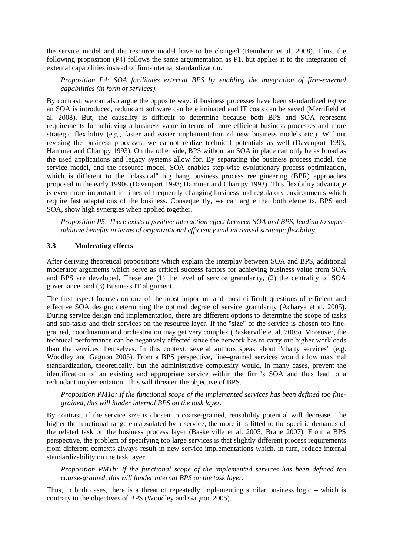the service model and the resource model have to be changed (Beimborn et al. 2008). Thus, the following proposition (P4) follows the same argumentation as P1, but applies it to the integration of external capabilities instead of firm-internal standardization.

*Proposition P4: SOA facilitates external BPS by enabling the integration of firm-external capabilities (in form of services).*

By contrast, we can also argue the opposite way: if business processes have been standardized *before* an SOA is introduced, redundant software can be eliminated and IT costs can be saved (Merrifield et al. 2008). But, the causality is difficult to determine because both BPS and SOA represent requirements for achieving a business value in terms of more efficient business processes and more strategic flexibility (e.g., faster and easier implementation of new business models etc.). Without revising the business processes, we cannot realize technical potentials as well (Davenport 1993; Hammer and Champy 1993). On the other side, BPS without an SOA in place can only be as broad as the used applications and legacy systems allow for. By separating the business process model, the service model, and the resource model, SOA enables step-wise evolutionary process optimization, which is different to the "classical" big bang business process reengineering (BPR) approaches proposed in the early 1990s (Davenport 1993; Hammer and Champy 1993). This flexibility advantage is even more important in times of frequently changing business and regulatory environments which require fast adaptations of the business. Consequently, we can argue that both elements, BPS and SOA, show high synergies when applied together.

*Proposition P5: There exists a positive interaction effect between SOA and BPS, leading to superadditive benefits in terms of organizational efficiency and increased strategic flexibility.* 

#### **3.3 Moderating effects**

After deriving theoretical propositions which explain the interplay between SOA and BPS, additional moderator arguments which serve as critical success factors for achieving business value from SOA and BPS are developed. These are (1) the level of service granularity, (2) the centrality of SOA governance, and (3) Business IT alignment.

The first aspect focuses on one of the most important and most difficult questions of efficient and effective SOA design: determining the optimal degree of service granularity (Acharya et al. 2005). During service design and implementation, there are different options to determine the scope of tasks and sub-tasks and their services on the resource layer. If the "size" of the service is chosen too finegrained, coordination and orchestration may get very complex (Baskerville et al. 2005). Moreover, the technical performance can be negatively affected since the network has to carry out higher workloads than the services themselves. In this context, several authors speak about "chatty services" (e.g. Woodley and Gagnon 2005). From a BPS perspective, fine–grained services would allow maximal standardization, theoretically, but the administrative complexity would, in many cases, prevent the identification of an existing and appropriate service within the firm's SOA and thus lead to a redundant implementation. This will threaten the objective of BPS.

*Proposition PM1a: If the functional scope of the implemented services has been defined too finegrained, this will hinder internal BPS on the task layer.* 

By contrast, if the service size is chosen to coarse-grained, reusability potential will decrease. The higher the functional range encapsulated by a service, the more it is fitted to the specific demands of the related task on the business process layer (Baskerville et al. 2005; Brahe 2007). From a BPS perspective, the problem of specifying too large services is that slightly different process requirements from different contexts always result in new service implementations which, in turn, reduce internal standardizability on the task layer.

*Proposition PM1b: If the functional scope of the implemented services has been defined too coarse-grained, this will hinder internal BPS on the task layer.* 

Thus, in both cases, there is a threat of repeatedly implementing similar business logic – which is contrary to the objectives of BPS (Woodley and Gagnon 2005).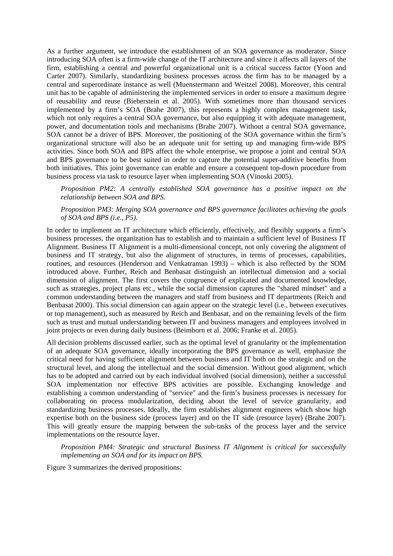As a further argument, we introduce the establishment of an SOA governance as moderator. Since introducing SOA often is a firm-wide change of the IT architecture and since it affects all layers of the firm, establishing a central and powerful organizational unit is a critical success factor (Yoon and Carter 2007). Similarly, standardizing business processes across the firm has to be managed by a central and superordinate instance as well (Muenstermann and Weitzel 2008). Moreover, this central unit has to be capable of administering the implemented services in order to ensure a maximum degree of reusability and reuse (Bieberstein et al. 2005). With sometimes more than thousand services implemented by a firm's SOA (Brahe 2007), this represents a highly complex management task, which not only requires a central SOA governance, but also equipping it with adequate management, power, and documentation tools and mechanisms (Brahe 2007). Without a central SOA governance, SOA cannot be a driver of BPS. Moreover, the positioning of the SOA governance within the firm's organizational structure will also be an adequate unit for setting up and managing firm-wide BPS activities. Since both SOA and BPS affect the whole enterprise, we propose a joint and central SOA and BPS governance to be best suited in order to capture the potential super-additive benefits from both initiatives. This joint governance can enable and ensure a consequent top-down procedure from business process via task to resource layer when implementing SOA (Vinoski 2005).

*Proposition PM2: A centrally established SOA governance has a positive impact on the relationship between SOA and BPS.* 

*Proposition PM3: Merging SOA governance and BPS governance facilitates achieving the goals of SOA and BPS (i.e., P5).* 

In order to implement an IT architecture which efficiently, effectively, and flexibly supports a firm's business processes, the organization has to establish and to maintain a sufficient level of Business IT Alignment. Business IT Alignment is a multi-dimensional concept, not only covering the alignment of business and IT strategy, but also the alignment of structures, in terms of processes, capabilities, routines, and resources (Henderson and Venkatraman 1993) – which is also reflected by the SOM introduced above. Further, Reich and Benbasat distinguish an intellectual dimension and a social dimension of alignment. The first covers the congruence of explicated and documented knowledge, such as strategies, project plans etc., while the social dimension captures the "shared mindset" and a common understanding between the managers and staff from business and IT departments (Reich and Benbasat 2000). This social dimension can again appear on the strategic level (i.e., between executives or top management), such as measured by Reich and Benbasat, and on the remaining levels of the firm such as trust and mutual understanding between IT and business managers and employees involved in joint projects or even during daily business (Beimborn et al. 2006; Franke et al. 2005).

All decision problems discussed earlier, such as the optimal level of granularity or the implementation of an adequate SOA governance, ideally incorporating the BPS governance as well, emphasize the critical need for having sufficient alignment between business and IT both on the strategic and on the structural level, and along the intellectual and the social dimension. Without good alignment, which has to be adopted and carried out by each individual involved (social dimension), neither a successful SOA implementation nor effective BPS activities are possible. Exchanging knowledge and establishing a common understanding of "service" and the firm's business processes is necessary for collaborating on process modularization, deciding about the level of service granularity, and standardizing business processes. Ideally, the firm establishes alignment engineers which show high expertise both on the business side (process layer) and on the IT side (resource layer) (Brahe 2007). This will greatly ensure the mapping between the sub-tasks of the process layer and the service implementations on the resource layer.

*Proposition PM4: Strategic and structural Business IT Alignment is critical for successfully implementing an SOA and for its impact on BPS.*

Figure 3 summarizes the derived propositions: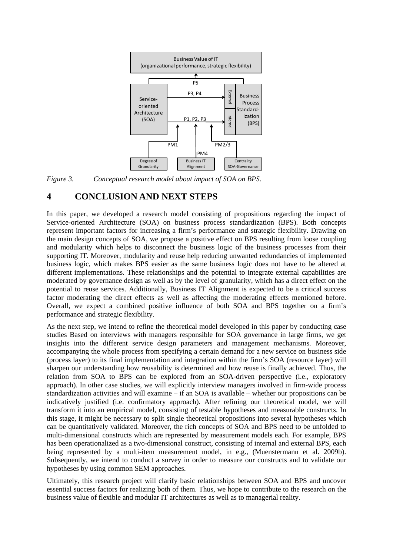

*Figure 3. Conceptual research model about impact of SOA on BPS.* 

# **4 CONCLUSION AND NEXT STEPS**

In this paper, we developed a research model consisting of propositions regarding the impact of Service-oriented Architecture (SOA) on business process standardization (BPS). Both concepts represent important factors for increasing a firm's performance and strategic flexibility. Drawing on the main design concepts of SOA, we propose a positive effect on BPS resulting from loose coupling and modularity which helps to disconnect the business logic of the business processes from their supporting IT. Moreover, modularity and reuse help reducing unwanted redundancies of implemented business logic, which makes BPS easier as the same business logic does not have to be altered at different implementations. These relationships and the potential to integrate external capabilities are moderated by governance design as well as by the level of granularity, which has a direct effect on the potential to reuse services. Additionally, Business IT Alignment is expected to be a critical success factor moderating the direct effects as well as affecting the moderating effects mentioned before. Overall, we expect a combined positive influence of both SOA and BPS together on a firm's performance and strategic flexibility.

As the next step, we intend to refine the theoretical model developed in this paper by conducting case studies Based on interviews with managers responsible for SOA governance in large firms, we get insights into the different service design parameters and management mechanisms. Moreover, accompanying the whole process from specifying a certain demand for a new service on business side (process layer) to its final implementation and integration within the firm's SOA (resource layer) will sharpen our understanding how reusability is determined and how reuse is finally achieved. Thus, the relation from SOA to BPS can be explored from an SOA-driven perspective (i.e., exploratory approach). In other case studies, we will explicitly interview managers involved in firm-wide process standardization activities and will examine – if an SOA is available – whether our propositions can be indicatively justified (i.e. confirmatory approach). After refining our theoretical model, we will transform it into an empirical model, consisting of testable hypotheses and measurable constructs. In this stage, it might be necessary to split single theoretical propositions into several hypotheses which can be quantitatively validated. Moreover, the rich concepts of SOA and BPS need to be unfolded to multi-dimensional constructs which are represented by measurement models each. For example, BPS has been operationalized as a two-dimensional construct, consisting of internal and external BPS, each being represented by a multi-item measurement model, in e.g., (Muenstermann et al. 2009b). Subsequently, we intend to conduct a survey in order to measure our constructs and to validate our hypotheses by using common SEM approaches.

Ultimately, this research project will clarify basic relationships between SOA and BPS and uncover essential success factors for realizing both of them. Thus, we hope to contribute to the research on the business value of flexible and modular IT architectures as well as to managerial reality.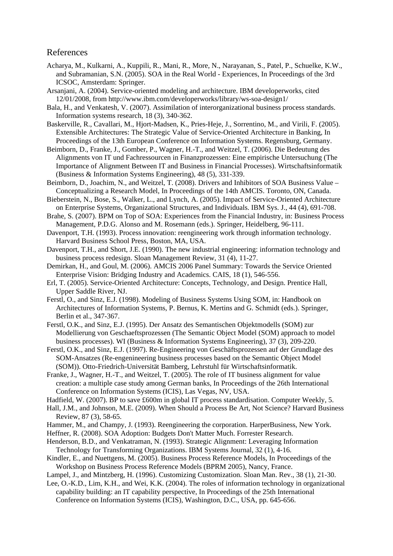#### References

- Acharya, M., Kulkarni, A., Kuppili, R., Mani, R., More, N., Narayanan, S., Patel, P., Schuelke, K.W., and Subramanian, S.N. (2005). SOA in the Real World - Experiences, In Proceedings of the 3rd ICSOC*,* Amsterdam: Springer.
- Arsanjani, A. (2004). Service-oriented modeling and architecture. IBM developerworks*,* cited 12/01/2008, from http://www.ibm.com/developerworks/library/ws-soa-design1/
- Bala, H., and Venkatesh, V. (2007). Assimilation of interorganizational business process standards. Information systems research, 18 (3), 340-362.
- Baskerville, R., Cavallari, M., Hjort-Madsen, K., Pries-Heje, J., Sorrentino, M., and Virili, F. (2005). Extensible Architectures: The Strategic Value of Service-Oriented Architecture in Banking, In Proceedings of the 13th European Conference on Information Systems. Regensburg, Germany.
- Beimborn, D., Franke, J., Gomber, P., Wagner, H.-T., and Weitzel, T. (2006). Die Bedeutung des Alignments von IT und Fachressourcen in Finanzprozessen: Eine empirische Untersuchung (The Importance of Alignment Between IT and Business in Financial Processes). Wirtschaftsinformatik (Business & Information Systems Engineering), 48 (5), 331-339.
- Beimborn, D., Joachim, N., and Weitzel, T. (2008). Drivers and Inhibitors of SOA Business Value Conceptualizing a Research Model, In Proceedings of the 14th AMCIS. Toronto, ON, Canada.
- Bieberstein, N., Bose, S., Walker, L., and Lynch, A. (2005). Impact of Service-Oriented Architecture on Enterprise Systems, Organizational Structures, and Individuals. IBM Sys. J., 44 (4), 691-708.
- Brahe, S. (2007). BPM on Top of SOA: Experiences from the Financial Industry, in: Business Process Management*,* P.D.G. Alonso and M. Rosemann (eds.). Springer, Heidelberg, 96-111.
- Davenport, T.H. (1993). Process innovation: reengineering work through information technology. Harvard Business School Press, Boston, MA, USA.
- Davenport, T.H., and Short, J.E. (1990). The new industrial engineering: information technology and business process redesign. Sloan Management Review, 31 (4), 11-27.
- Demirkan, H., and Goul, M. (2006). AMCIS 2006 Panel Summary: Towards the Service Oriented Enterprise Vision: Bridging Industry and Academics. CAIS, 18 (1), 546-556.
- Erl, T. (2005). Service-Oriented Architecture: Concepts, Technology, and Design. Prentice Hall, Upper Saddle River, NJ.
- Ferstl, O., and Sinz, E.J. (1998). Modeling of Business Systems Using SOM, in: Handbook on Architectures of Information Systems*,* P. Bernus, K. Mertins and G. Schmidt (eds.). Springer, Berlin et al., 347-367.
- Ferstl, O.K., and Sinz, E.J. (1995). Der Ansatz des Semantischen Objektmodells (SOM) zur Modellierung von Geschaeftsprozessen (The Semantic Object Model (SOM) approach to model business processes). WI (Business & Information Systems Engineering), 37 (3), 209-220.
- Ferstl, O.K., and Sinz, E.J. (1997). Re-Engineering von Geschäftsprozessen auf der Grundlage des SOM-Ansatzes (Re-engenineering business processes based on the Semantic Object Model (SOM)). Otto-Friedrich-Universität Bamberg, Lehrstuhl für Wirtschaftsinformatik.
- Franke, J., Wagner, H.-T., and Weitzel, T. (2005). The role of IT business alignment for value creation: a multiple case study among German banks, In Proceedings of the 26th International Conference on Information Systems (ICIS), Las Vegas, NV, USA.

Hadfield, W. (2007). BP to save £600m in global IT process standardisation. Computer Weekly, 5.

- Hall, J.M., and Johnson, M.E. (2009). When Should a Process Be Art, Not Science? Harvard Business Review, 87 (3), 58-65.
- Hammer, M., and Champy, J. (1993). Reengineering the corporation. HarperBusiness, New York.
- Heffner, R. (2008). SOA Adoption: Budgets Don't Matter Much. Forrester Research.
- Henderson, B.D., and Venkatraman, N. (1993). Strategic Alignment: Leveraging Information Technology for Transforming Organizations. IBM Systems Journal, 32 (1), 4-16.
- Kindler, E., and Nuettgens, M. (2005). Business Process Reference Models, In Proceedings of the Workshop on Business Process Reference Models (BPRM 2005), Nancy, France.

Lampel, J., and Mintzberg, H. (1996). Customizing Customization. Sloan Man. Rev., 38 (1), 21-30.

Lee, O.-K.D., Lim, K.H., and Wei, K.K. (2004). The roles of information technology in organizational capability building: an IT capability perspective, In Proceedings of the 25th International Conference on Information Systems (ICIS)*,* Washington, D.C., USA, pp. 645-656.